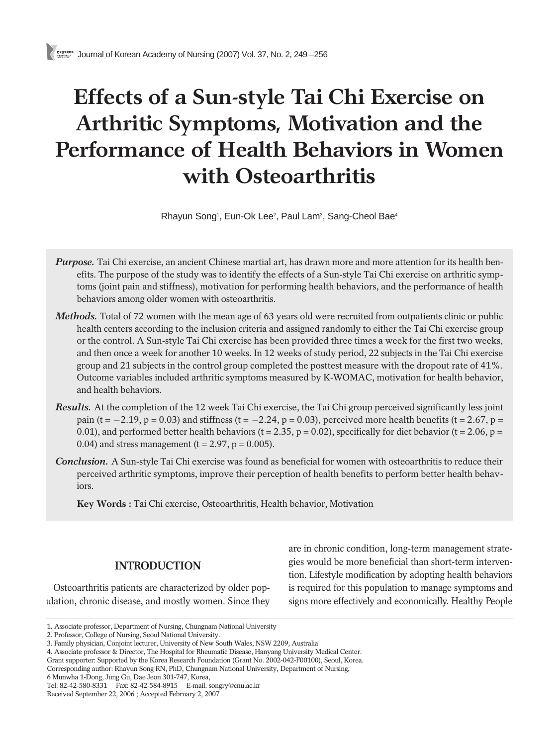# **Effects of a Sun-style Tai Chi Exercise on Arthritic Symptoms, Motivation and the Performance of Health Behaviors in Women with Osteoarthritis**

Rhayun Song<sup>1</sup>, Eun-Ok Lee<sup>2</sup>, Paul Lam<sup>3</sup>, Sang-Cheol Bae<sup>4</sup>

- *Purpose.* Tai Chi exercise, an ancient Chinese martial art, has drawn more and more attention for its health benefits. The purpose of the study was to identify the effects of a Sun-style Tai Chi exercise on arthritic symptoms (joint pain and stiffness), motivation for performing health behaviors, and the performance of health behaviors among older women with osteoarthritis.
- *Methods.* Total of 72 women with the mean age of 63 years old were recruited from outpatients clinic or public health centers according to the inclusion criteria and assigned randomly to either the Tai Chi exercise group or the control. A Sun-style Tai Chi exercise has been provided three times a week for the first two weeks, and then once a week for another 10 weeks. In 12 weeks of study period, 22 subjects in the Tai Chi exercise group and 21 subjects in the control group completed the posttest measure with the dropout rate of 41%. Outcome variables included arthritic symptoms measured by K-WOMAC, motivation for health behavior, and health behaviors.
- *Results.* At the completion of the 12 week Tai Chi exercise, the Tai Chi group perceived significantly less joint pain (t =  $-2.19$ , p = 0.03) and stiffness (t =  $-2.24$ , p = 0.03), perceived more health benefits (t = 2.67, p = 0.01), and performed better health behaviors ( $t = 2.35$ ,  $p = 0.02$ ), specifically for diet behavior ( $t = 2.06$ ,  $p = 0.02$ ) 0.04) and stress management ( $t = 2.97$ ,  $p = 0.005$ ).
- *Conclusion.* A Sun-style Tai Chi exercise was found as beneficial for women with osteoarthritis to reduce their perceived arthritic symptoms, improve their perception of health benefits to perform better health behaviors.

**Key Words :** Tai Chi exercise, Osteoarthritis, Health behavior, Motivation

## **INTRODUCTION**

Osteoarthritis patients are characterized by older population, chronic disease, and mostly women. Since they

are in chronic condition, long-term management strategies would be more beneficial than short-term intervention. Lifestyle modification by adopting health behaviors is required for this population to manage symptoms and signs more effectively and economically. Healthy People

<sup>1.</sup> Associate professor, Department of Nursing, Chungnam National University

<sup>2.</sup> Professor, College of Nursing, Seoul National University.

<sup>3.</sup> Family physician, Conjoint lecturer, University of New South Wales, NSW 2209, Australia

<sup>4.</sup> Associate professor & Director, The Hospital for Rheumatic Disease, Hanyang University Medical Center.

Grant supporter: Supported by the Korea Research Foundation (Grant No. 2002-042-F00100), Seoul, Korea.

Corresponding author: Rhayun Song RN, PhD, Chungnam National University, Department of Nursing,

<sup>6</sup> Munwha 1-Dong, Jung Gu, Dae Jeon 301-747, Korea,

Tel: 82-42-580-8331 Fax: 82-42-584-8915 E-mail: songry@cnu.ac.kr

Received September 22, 2006 ; Accepted February 2, 2007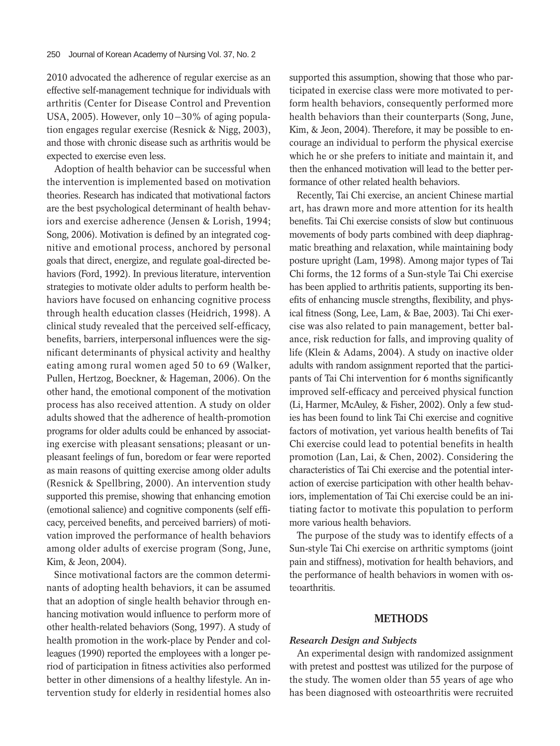2010 advocated the adherence of regular exercise as an effective self-management technique for individuals with arthritis (Center for Disease Control and Prevention USA, 2005). However, only  $10-30\%$  of aging population engages regular exercise (Resnick & Nigg, 2003), and those with chronic disease such as arthritis would be expected to exercise even less.

Adoption of health behavior can be successful when the intervention is implemented based on motivation theories. Research has indicated that motivational factors are the best psychological determinant of health behaviors and exercise adherence (Jensen & Lorish, 1994; Song, 2006). Motivation is defined by an integrated cognitive and emotional process, anchored by personal goals that direct, energize, and regulate goal-directed behaviors (Ford, 1992). In previous literature, intervention strategies to motivate older adults to perform health behaviors have focused on enhancing cognitive process through health education classes (Heidrich, 1998). A clinical study revealed that the perceived self-efficacy, benefits, barriers, interpersonal influences were the significant determinants of physical activity and healthy eating among rural women aged 50 to 69 (Walker, Pullen, Hertzog, Boeckner, & Hageman, 2006). On the other hand, the emotional component of the motivation process has also received attention. A study on older adults showed that the adherence of health-promotion programs for older adults could be enhanced by associating exercise with pleasant sensations; pleasant or unpleasant feelings of fun, boredom or fear were reported as main reasons of quitting exercise among older adults (Resnick & Spellbring, 2000). An intervention study supported this premise, showing that enhancing emotion (emotional salience) and cognitive components (self efficacy, perceived benefits, and perceived barriers) of motivation improved the performance of health behaviors among older adults of exercise program (Song, June, Kim, & Jeon, 2004).

Since motivational factors are the common determinants of adopting health behaviors, it can be assumed that an adoption of single health behavior through enhancing motivation would influence to perform more of other health-related behaviors (Song, 1997). A study of health promotion in the work-place by Pender and colleagues (1990) reported the employees with a longer period of participation in fitness activities also performed better in other dimensions of a healthy lifestyle. An intervention study for elderly in residential homes also

supported this assumption, showing that those who participated in exercise class were more motivated to perform health behaviors, consequently performed more health behaviors than their counterparts (Song, June, Kim, & Jeon, 2004). Therefore, it may be possible to encourage an individual to perform the physical exercise which he or she prefers to initiate and maintain it, and then the enhanced motivation will lead to the better performance of other related health behaviors.

Recently, Tai Chi exercise, an ancient Chinese martial art, has drawn more and more attention for its health benefits. Tai Chi exercise consists of slow but continuous movements of body parts combined with deep diaphragmatic breathing and relaxation, while maintaining body posture upright (Lam, 1998). Among major types of Tai Chi forms, the 12 forms of a Sun-style Tai Chi exercise has been applied to arthritis patients, supporting its benefits of enhancing muscle strengths, flexibility, and physical fitness (Song, Lee, Lam, & Bae, 2003). Tai Chi exercise was also related to pain management, better balance, risk reduction for falls, and improving quality of life (Klein & Adams, 2004). A study on inactive older adults with random assignment reported that the participants of Tai Chi intervention for 6 months significantly improved self-efficacy and perceived physical function (Li, Harmer, McAuley, & Fisher, 2002). Only a few studies has been found to link Tai Chi exercise and cognitive factors of motivation, yet various health benefits of Tai Chi exercise could lead to potential benefits in health promotion (Lan, Lai, & Chen, 2002). Considering the characteristics of Tai Chi exercise and the potential interaction of exercise participation with other health behaviors, implementation of Tai Chi exercise could be an initiating factor to motivate this population to perform more various health behaviors.

The purpose of the study was to identify effects of a Sun-style Tai Chi exercise on arthritic symptoms (joint pain and stiffness), motivation for health behaviors, and the performance of health behaviors in women with osteoarthritis.

#### **METHODS**

#### *Research Design and Subjects*

An experimental design with randomized assignment with pretest and posttest was utilized for the purpose of the study. The women older than 55 years of age who has been diagnosed with osteoarthritis were recruited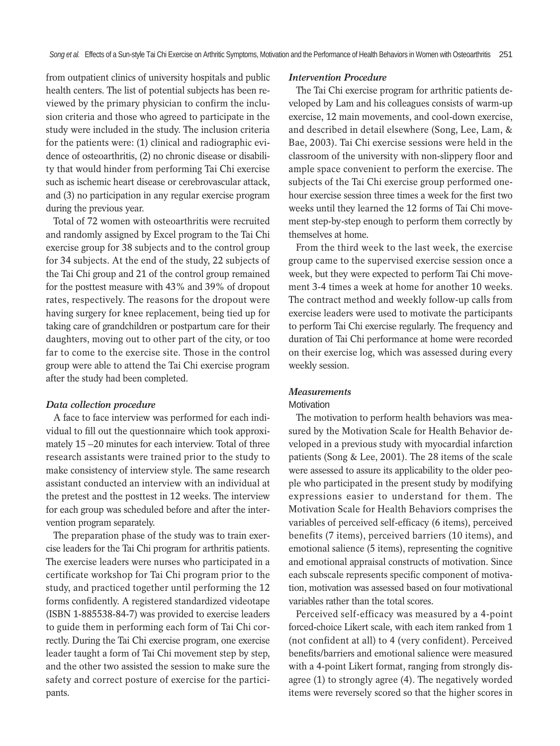from outpatient clinics of university hospitals and public health centers. The list of potential subjects has been reviewed by the primary physician to confirm the inclusion criteria and those who agreed to participate in the study were included in the study. The inclusion criteria for the patients were: (1) clinical and radiographic evidence of osteoarthritis, (2) no chronic disease or disability that would hinder from performing Tai Chi exercise such as ischemic heart disease or cerebrovascular attack, and (3) no participation in any regular exercise program during the previous year.

Total of 72 women with osteoarthritis were recruited and randomly assigned by Excel program to the Tai Chi exercise group for 38 subjects and to the control group for 34 subjects. At the end of the study, 22 subjects of the Tai Chi group and 21 of the control group remained for the posttest measure with 43% and 39% of dropout rates, respectively. The reasons for the dropout were having surgery for knee replacement, being tied up for taking care of grandchildren or postpartum care for their daughters, moving out to other part of the city, or too far to come to the exercise site. Those in the control group were able to attend the Tai Chi exercise program after the study had been completed.

#### *Data collection procedure*

A face to face interview was performed for each individual to fill out the questionnaire which took approximately  $15 - 20$  minutes for each interview. Total of three research assistants were trained prior to the study to make consistency of interview style. The same research assistant conducted an interview with an individual at the pretest and the posttest in 12 weeks. The interview for each group was scheduled before and after the intervention program separately.

The preparation phase of the study was to train exercise leaders for the Tai Chi program for arthritis patients. The exercise leaders were nurses who participated in a certificate workshop for Tai Chi program prior to the study, and practiced together until performing the 12 forms confidently. A registered standardized videotape (ISBN 1-885538-84-7) was provided to exercise leaders to guide them in performing each form of Tai Chi correctly. During the Tai Chi exercise program, one exercise leader taught a form of Tai Chi movement step by step, and the other two assisted the session to make sure the safety and correct posture of exercise for the participants.

#### *Intervention Procedure*

The Tai Chi exercise program for arthritic patients developed by Lam and his colleagues consists of warm-up exercise, 12 main movements, and cool-down exercise, and described in detail elsewhere (Song, Lee, Lam, & Bae, 2003). Tai Chi exercise sessions were held in the classroom of the university with non-slippery floor and ample space convenient to perform the exercise. The subjects of the Tai Chi exercise group performed onehour exercise session three times a week for the first two weeks until they learned the 12 forms of Tai Chi movement step-by-step enough to perform them correctly by themselves at home.

From the third week to the last week, the exercise group came to the supervised exercise session once a week, but they were expected to perform Tai Chi movement 3-4 times a week at home for another 10 weeks. The contract method and weekly follow-up calls from exercise leaders were used to motivate the participants to perform Tai Chi exercise regularly. The frequency and duration of Tai Chi performance at home were recorded on their exercise log, which was assessed during every weekly session.

### *Measurements*

#### **Motivation**

The motivation to perform health behaviors was measured by the Motivation Scale for Health Behavior developed in a previous study with myocardial infarction patients (Song & Lee, 2001). The 28 items of the scale were assessed to assure its applicability to the older people who participated in the present study by modifying expressions easier to understand for them. The Motivation Scale for Health Behaviors comprises the variables of perceived self-efficacy (6 items), perceived benefits (7 items), perceived barriers (10 items), and emotional salience (5 items), representing the cognitive and emotional appraisal constructs of motivation. Since each subscale represents specific component of motivation, motivation was assessed based on four motivational variables rather than the total scores.

Perceived self-efficacy was measured by a 4-point forced-choice Likert scale, with each item ranked from 1 (not confident at all) to 4 (very confident). Perceived benefits/barriers and emotional salience were measured with a 4-point Likert format, ranging from strongly disagree (1) to strongly agree (4). The negatively worded items were reversely scored so that the higher scores in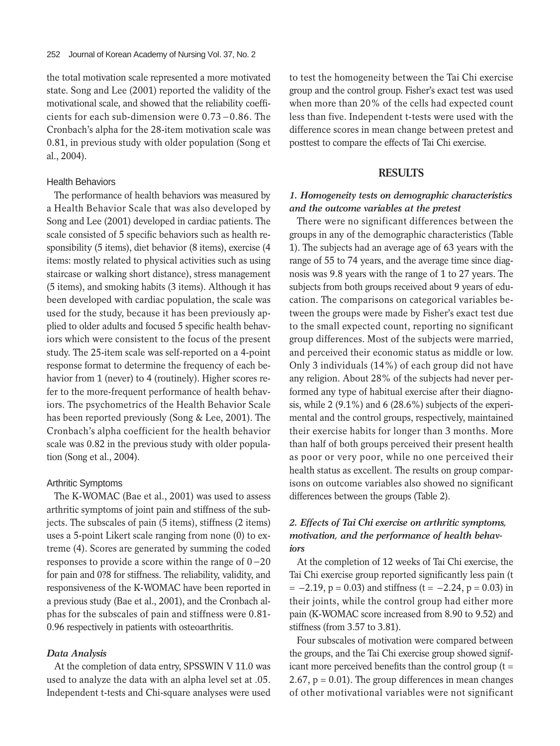the total motivation scale represented a more motivated state. Song and Lee (2001) reported the validity of the motivational scale, and showed that the reliability coefficients for each sub-dimension were  $0.73 - 0.86$ . The Cronbach's alpha for the 28-item motivation scale was 0.81, in previous study with older population (Song et al., 2004).

#### Health Behaviors

The performance of health behaviors was measured by a Health Behavior Scale that was also developed by Song and Lee (2001) developed in cardiac patients. The scale consisted of 5 specific behaviors such as health responsibility (5 items), diet behavior (8 items), exercise (4 items: mostly related to physical activities such as using staircase or walking short distance), stress management (5 items), and smoking habits (3 items). Although it has been developed with cardiac population, the scale was used for the study, because it has been previously applied to older adults and focused 5 specific health behaviors which were consistent to the focus of the present study. The 25-item scale was self-reported on a 4-point response format to determine the frequency of each behavior from 1 (never) to 4 (routinely). Higher scores refer to the more-frequent performance of health behaviors. The psychometrics of the Health Behavior Scale has been reported previously (Song & Lee, 2001). The Cronbach's alpha coefficient for the health behavior scale was 0.82 in the previous study with older population (Song et al., 2004).

## Arthritic Symptoms

The K-WOMAC (Bae et al., 2001) was used to assess arthritic symptoms of joint pain and stiffness of the subjects. The subscales of pain (5 items), stiffness (2 items) uses a 5-point Likert scale ranging from none (0) to extreme (4). Scores are generated by summing the coded responses to provide a score within the range of  $0 - 20$ for pain and 0?8 for stiffness. The reliability, validity, and responsiveness of the K-WOMAC have been reported in a previous study (Bae et al., 2001), and the Cronbach alphas for the subscales of pain and stiffness were 0.81- 0.96 respectively in patients with osteoarthritis.

#### *Data Analysis*

At the completion of data entry, SPSSWIN V 11.0 was used to analyze the data with an alpha level set at .05. Independent t-tests and Chi-square analyses were used

to test the homogeneity between the Tai Chi exercise group and the control group. Fisher's exact test was used when more than 20% of the cells had expected count less than five. Independent t-tests were used with the difference scores in mean change between pretest and posttest to compare the effects of Tai Chi exercise.

## **RESULTS**

## *1. Homogeneity tests on demographic characteristics and the outcome variables at the pretest*

There were no significant differences between the groups in any of the demographic characteristics (Table 1). The subjects had an average age of 63 years with the range of 55 to 74 years, and the average time since diagnosis was 9.8 years with the range of 1 to 27 years. The subjects from both groups received about 9 years of education. The comparisons on categorical variables between the groups were made by Fisher's exact test due to the small expected count, reporting no significant group differences. Most of the subjects were married, and perceived their economic status as middle or low. Only 3 individuals (14%) of each group did not have any religion. About 28% of the subjects had never performed any type of habitual exercise after their diagnosis, while 2 (9.1%) and 6 (28.6%) subjects of the experimental and the control groups, respectively, maintained their exercise habits for longer than 3 months. More than half of both groups perceived their present health as poor or very poor, while no one perceived their health status as excellent. The results on group comparisons on outcome variables also showed no significant differences between the groups (Table 2).

## *2. Effects of Tai Chi exercise on arthritic symptoms, motivation, and the performance of health behaviors*

At the completion of 12 weeks of Tai Chi exercise, the Tai Chi exercise group reported significantly less pain (t  $= -2.19$ ,  $p = 0.03$ ) and stiffness (t = -2.24,  $p = 0.03$ ) in their joints, while the control group had either more pain (K-WOMAC score increased from 8.90 to 9.52) and stiffness (from 3.57 to 3.81).

Four subscales of motivation were compared between the groups, and the Tai Chi exercise group showed significant more perceived benefits than the control group  $(t =$ 2.67,  $p = 0.01$ ). The group differences in mean changes of other motivational variables were not significant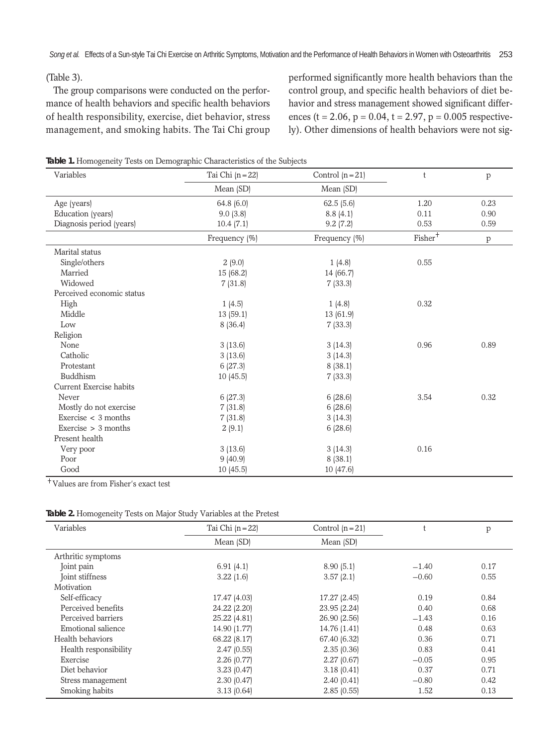## (Table 3).

The group comparisons were conducted on the performance of health behaviors and specific health behaviors of health responsibility, exercise, diet behavior, stress management, and smoking habits. The Tai Chi group performed significantly more health behaviors than the control group, and specific health behaviors of diet behavior and stress management showed significant differences (t = 2.06, p = 0.04, t = 2.97, p = 0.005 respectively). Other dimensions of health behaviors were not sig-

#### **Table 1.** Homogeneity Tests on Demographic Characteristics of the Subjects

| Variables                 | Tai Chi $(n=22)$ | Control $(n=21)$ | t                   | p    |
|---------------------------|------------------|------------------|---------------------|------|
|                           | Mean (SD)        | Mean (SD)        |                     |      |
| Age (years)               | 64.8 $(6.0)$     | 62.5(5.6)        | 1.20                | 0.23 |
| Education (years)         | 9.0(3.8)         | 8.8(4.1)         | 0.11                | 0.90 |
| Diagnosis period (years)  | 10.4(7.1)        | 9.2(7.2)         | 0.53                | 0.59 |
|                           | Frequency (%)    | Frequency (%)    | $\mathrm{Fisher}^+$ | p    |
| Marital status            |                  |                  |                     |      |
| Single/others             | 2(9.0)           | 1(4.8)           | 0.55                |      |
| Married                   | 15(68.2)         | 14 (66.7)        |                     |      |
| Widowed                   | 7(31.8)          | 7(33.3)          |                     |      |
| Perceived economic status |                  |                  |                     |      |
| High                      | 1(4.5)           | 1(4.8)           | 0.32                |      |
| Middle                    | 13(59.1)         | 13 (61.9)        |                     |      |
| Low                       | 8(36.4)          | 7(33.3)          |                     |      |
| Religion                  |                  |                  |                     |      |
| None                      | 3(13.6)          | 3(14.3)          | 0.96                | 0.89 |
| Catholic                  | 3(13.6)          | 3(14.3)          |                     |      |
| Protestant                | 6(27.3)          | 8(38.1)          |                     |      |
| <b>Buddhism</b>           | 10(45.5)         | 7(33.3)          |                     |      |
| Current Exercise habits   |                  |                  |                     |      |
| Never                     | 6(27.3)          | 6(28.6)          | 3.54                | 0.32 |
| Mostly do not exercise    | 7(31.8)          | 6(28.6)          |                     |      |
| Exercise $\lt$ 3 months   | 7(31.8)          | 3(14.3)          |                     |      |
| Exercise $> 3$ months     | 2(9.1)           | 6(28.6)          |                     |      |
| Present health            |                  |                  |                     |      |
| Very poor                 | 3(13.6)          | 3(14.3)          | 0.16                |      |
| Poor                      | 9(40.9)          | 8(38.1)          |                     |      |
| Good                      | 10(45.5)         | 10(47.6)         |                     |      |

Values are from Fisher's exact test

| Variables             | Tai Chi $(n=22)$ | Control $(n=21)$ |         | p    |
|-----------------------|------------------|------------------|---------|------|
|                       | Mean (SD)        | Mean (SD)        |         |      |
| Arthritic symptoms    |                  |                  |         |      |
| Joint pain            | 6.91(4.1)        | 8.90(5.1)        | $-1.40$ | 0.17 |
| Joint stiffness       | 3.22(1.6)        | 3.57(2.1)        | $-0.60$ | 0.55 |
| Motivation            |                  |                  |         |      |
| Self-efficacy         | 17.47 (4.03)     | 17.27 (2.45)     | 0.19    | 0.84 |
| Perceived benefits    | 24.22 (2.20)     | 23.95 (2.24)     | 0.40    | 0.68 |
| Perceived barriers    | 25.22 (4.81)     | 26.90 (2.56)     | $-1.43$ | 0.16 |
| Emotional salience    | 14.90 (1.77)     | 14.76 (1.41)     | 0.48    | 0.63 |
| Health behaviors      | 68.22 (8.17)     | 67.40 (6.32)     | 0.36    | 0.71 |
| Health responsibility | 2.47(0.55)       | 2.35(0.36)       | 0.83    | 0.41 |
| Exercise              | 2.26(0.77)       | 2.27(0.67)       | $-0.05$ | 0.95 |
| Diet behavior         | 3.23(0.47)       | 3.18(0.41)       | 0.37    | 0.71 |
| Stress management     | 2.30(0.47)       | 2.40(0.41)       | $-0.80$ | 0.42 |
| Smoking habits        | 3.13(0.64)       | 2.85(0.55)       | 1.52    | 0.13 |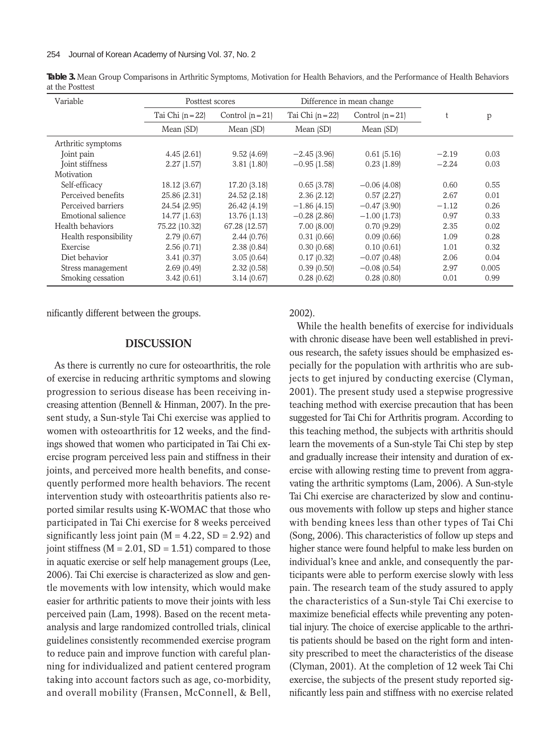| Variable              | Posttest scores  |                  | Difference in mean change |                  |         |       |
|-----------------------|------------------|------------------|---------------------------|------------------|---------|-------|
|                       | Tai Chi $(n=22)$ | Control $(n=21)$ | Tai Chi $(n=22)$          | Control $(n=21)$ |         | p     |
|                       | Mean (SD)        | Mean (SD)        | Mean (SD)                 | Mean (SD)        |         |       |
| Arthritic symptoms    |                  |                  |                           |                  |         |       |
| Joint pain            | 4.45(2.61)       | 9.52(4.69)       | $-2.45(3.96)$             | 0.61(5.16)       | $-2.19$ | 0.03  |
| Joint stiffness       | 2.27(1.57)       | 3.81(1.80)       | $-0.95(1.58)$             | 0.23(1.89)       | $-2.24$ | 0.03  |
| Motivation            |                  |                  |                           |                  |         |       |
| Self-efficacy         | 18.12 (3.67)     | 17.20 (3.18)     | 0.65(3.78)                | $-0.06$ (4.08)   | 0.60    | 0.55  |
| Perceived benefits    | 25.86 (2.31)     | 24.52 (2.18)     | 2.36(2.12)                | 0.57(2.27)       | 2.67    | 0.01  |
| Perceived barriers    | 24.54 (2.95)     | 26.42 (4.19)     | $-1.86(4.15)$             | $-0.47(3.90)$    | $-1.12$ | 0.26  |
| Emotional salience    | 14.77 (1.63)     | 13.76 (1.13)     | $-0.28$ (2.86)            | $-1.00$ (1.73)   | 0.97    | 0.33  |
| Health behaviors      | 75.22 (10.32)    | 67.28 (12.57)    | 7.00(8.00)                | 0.70(9.29)       | 2.35    | 0.02  |
| Health responsibility | 2.79(0.67)       | 2.44(0.76)       | 0.31(0.66)                | 0.09(0.66)       | 1.09    | 0.28  |
| Exercise              | 2.56(0.71)       | 2.38(0.84)       | 0.30(0.68)                | 0.10(0.61)       | 1.01    | 0.32  |
| Diet behavior         | 3.41(0.37)       | 3.05(0.64)       | 0.17(0.32)                | $-0.07$ (0.48)   | 2.06    | 0.04  |
| Stress management     | 2.69(0.49)       | 2.32(0.58)       | 0.39(0.50)                | $-0.08$ (0.54)   | 2.97    | 0.005 |
| Smoking cessation     | 3.42(0.61)       | 3.14(0.67)       | 0.28(0.62)                | 0.28(0.80)       | 0.01    | 0.99  |

**Table 3.** Mean Group Comparisons in Arthritic Symptoms, Motivation for Health Behaviors, and the Performance of Health Behaviors at the Posttest

nificantly different between the groups.

#### **DISCUSSION**

As there is currently no cure for osteoarthritis, the role of exercise in reducing arthritic symptoms and slowing progression to serious disease has been receiving increasing attention (Bennell & Hinman, 2007). In the present study, a Sun-style Tai Chi exercise was applied to women with osteoarthritis for 12 weeks, and the findings showed that women who participated in Tai Chi exercise program perceived less pain and stiffness in their joints, and perceived more health benefits, and consequently performed more health behaviors. The recent intervention study with osteoarthritis patients also reported similar results using K-WOMAC that those who participated in Tai Chi exercise for 8 weeks perceived significantly less joint pain ( $M = 4.22$ , SD = 2.92) and joint stiffness ( $M = 2.01$ ,  $SD = 1.51$ ) compared to those in aquatic exercise or self help management groups (Lee, 2006). Tai Chi exercise is characterized as slow and gentle movements with low intensity, which would make easier for arthritic patients to move their joints with less perceived pain (Lam, 1998). Based on the recent metaanalysis and large randomized controlled trials, clinical guidelines consistently recommended exercise program to reduce pain and improve function with careful planning for individualized and patient centered program taking into account factors such as age, co-morbidity, and overall mobility (Fransen, McConnell, & Bell,

2002).

While the health benefits of exercise for individuals with chronic disease have been well established in previous research, the safety issues should be emphasized especially for the population with arthritis who are subjects to get injured by conducting exercise (Clyman, 2001). The present study used a stepwise progressive teaching method with exercise precaution that has been suggested for Tai Chi for Arthritis program. According to this teaching method, the subjects with arthritis should learn the movements of a Sun-style Tai Chi step by step and gradually increase their intensity and duration of exercise with allowing resting time to prevent from aggravating the arthritic symptoms (Lam, 2006). A Sun-style Tai Chi exercise are characterized by slow and continuous movements with follow up steps and higher stance with bending knees less than other types of Tai Chi (Song, 2006). This characteristics of follow up steps and higher stance were found helpful to make less burden on individual's knee and ankle, and consequently the participants were able to perform exercise slowly with less pain. The research team of the study assured to apply the characteristics of a Sun-style Tai Chi exercise to maximize beneficial effects while preventing any potential injury. The choice of exercise applicable to the arthritis patients should be based on the right form and intensity prescribed to meet the characteristics of the disease (Clyman, 2001). At the completion of 12 week Tai Chi exercise, the subjects of the present study reported significantly less pain and stiffness with no exercise related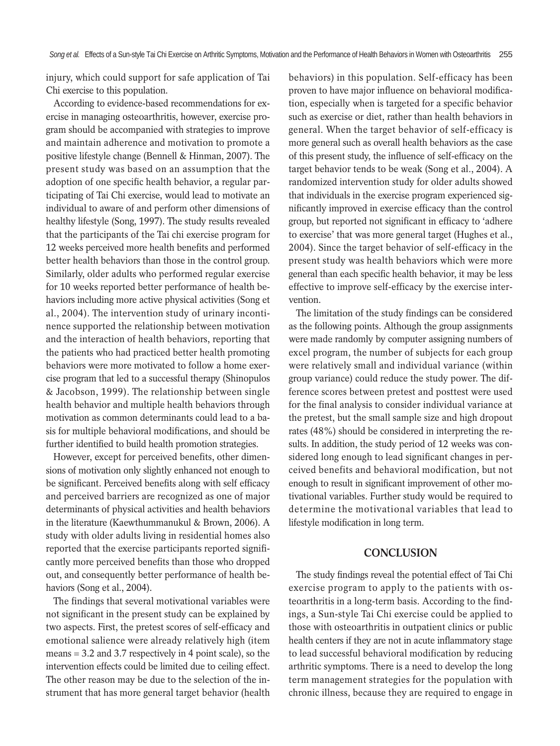injury, which could support for safe application of Tai Chi exercise to this population.

According to evidence-based recommendations for exercise in managing osteoarthritis, however, exercise program should be accompanied with strategies to improve and maintain adherence and motivation to promote a positive lifestyle change (Bennell & Hinman, 2007). The present study was based on an assumption that the adoption of one specific health behavior, a regular participating of Tai Chi exercise, would lead to motivate an individual to aware of and perform other dimensions of healthy lifestyle (Song, 1997). The study results revealed that the participants of the Tai chi exercise program for 12 weeks perceived more health benefits and performed better health behaviors than those in the control group. Similarly, older adults who performed regular exercise for 10 weeks reported better performance of health behaviors including more active physical activities (Song et al., 2004). The intervention study of urinary incontinence supported the relationship between motivation and the interaction of health behaviors, reporting that the patients who had practiced better health promoting behaviors were more motivated to follow a home exercise program that led to a successful therapy (Shinopulos & Jacobson, 1999). The relationship between single health behavior and multiple health behaviors through motivation as common determinants could lead to a basis for multiple behavioral modifications, and should be further identified to build health promotion strategies.

However, except for perceived benefits, other dimensions of motivation only slightly enhanced not enough to be significant. Perceived benefits along with self efficacy and perceived barriers are recognized as one of major determinants of physical activities and health behaviors in the literature (Kaewthummanukul & Brown, 2006). A study with older adults living in residential homes also reported that the exercise participants reported significantly more perceived benefits than those who dropped out, and consequently better performance of health behaviors (Song et al., 2004).

The findings that several motivational variables were not significant in the present study can be explained by two aspects. First, the pretest scores of self-efficacy and emotional salience were already relatively high (item means = 3.2 and 3.7 respectively in 4 point scale), so the intervention effects could be limited due to ceiling effect. The other reason may be due to the selection of the instrument that has more general target behavior (health behaviors) in this population. Self-efficacy has been proven to have major influence on behavioral modification, especially when is targeted for a specific behavior such as exercise or diet, rather than health behaviors in general. When the target behavior of self-efficacy is more general such as overall health behaviors as the case of this present study, the influence of self-efficacy on the target behavior tends to be weak (Song et al., 2004). A randomized intervention study for older adults showed that individuals in the exercise program experienced significantly improved in exercise efficacy than the control group, but reported not significant in efficacy to 'adhere to exercise' that was more general target (Hughes et al., 2004). Since the target behavior of self-efficacy in the present study was health behaviors which were more general than each specific health behavior, it may be less effective to improve self-efficacy by the exercise intervention.

The limitation of the study findings can be considered as the following points. Although the group assignments were made randomly by computer assigning numbers of excel program, the number of subjects for each group were relatively small and individual variance (within group variance) could reduce the study power. The difference scores between pretest and posttest were used for the final analysis to consider individual variance at the pretest, but the small sample size and high dropout rates (48%) should be considered in interpreting the results. In addition, the study period of 12 weeks was considered long enough to lead significant changes in perceived benefits and behavioral modification, but not enough to result in significant improvement of other motivational variables. Further study would be required to determine the motivational variables that lead to lifestyle modification in long term.

### **CONCLUSION**

The study findings reveal the potential effect of Tai Chi exercise program to apply to the patients with osteoarthritis in a long-term basis. According to the findings, a Sun-style Tai Chi exercise could be applied to those with osteoarthritis in outpatient clinics or public health centers if they are not in acute inflammatory stage to lead successful behavioral modification by reducing arthritic symptoms. There is a need to develop the long term management strategies for the population with chronic illness, because they are required to engage in